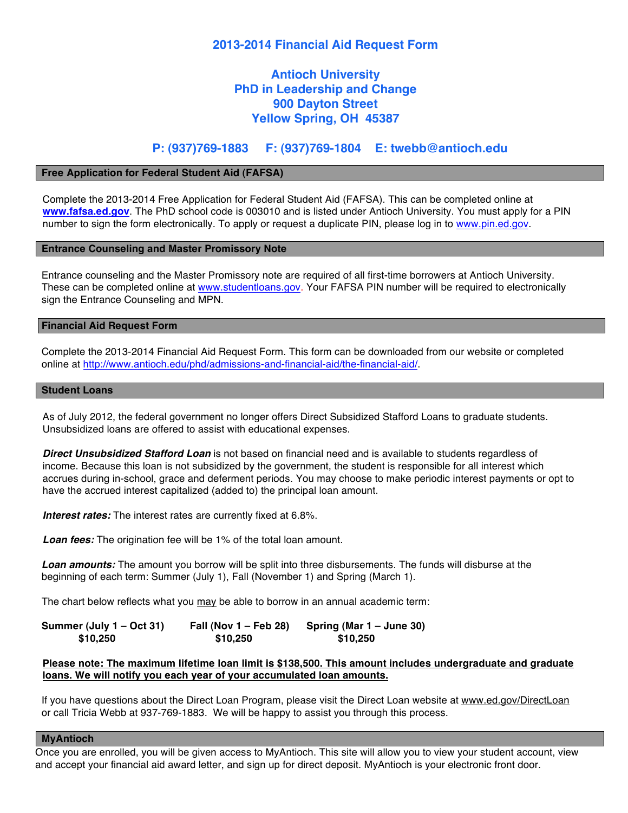# **2013-2014 Financial Aid Request Form**

# **Antioch University PhD in Leadership and Change 900 Dayton Street Yellow Spring, OH 45387**

## **P: (937)769-1883 F: (937)769-1804 E: twebb@antioch.edu**

#### **Free Application for Federal Student Aid (FAFSA)**

Complete the 2013-2014 Free Application for Federal Student Aid (FAFSA). This can be completed online at **www.fafsa.ed.gov**. The PhD school code is 003010 and is listed under Antioch University. You must apply for a PIN number to sign the form electronically. To apply or request a duplicate PIN, please log in to www.pin.ed.gov.

#### **Entrance Counseling and Master Promissory Note**

Entrance counseling and the Master Promissory note are required of all first-time borrowers at Antioch University. These can be completed online at www.studentloans.gov. Your FAFSA PIN number will be required to electronically sign the Entrance Counseling and MPN.

#### **Financial Aid Request Form**

Complete the 2013-2014 Financial Aid Request Form. This form can be downloaded from our website or completed online at http://www.antioch.edu/phd/admissions-and-financial-aid/the-financial-aid/.

#### **Student Loans**

As of July 2012, the federal government no longer offers Direct Subsidized Stafford Loans to graduate students. Unsubsidized loans are offered to assist with educational expenses.

*Direct Unsubsidized Stafford Loan* is not based on financial need and is available to students regardless of income. Because this loan is not subsidized by the government, the student is responsible for all interest which accrues during in-school, grace and deferment periods. You may choose to make periodic interest payments or opt to have the accrued interest capitalized (added to) the principal loan amount.

*Interest rates:* The interest rates are currently fixed at 6.8%.

*Loan fees:* The origination fee will be 1% of the total loan amount.

*Loan amounts:* The amount you borrow will be split into three disbursements. The funds will disburse at the beginning of each term: Summer (July 1), Fall (November 1) and Spring (March 1).

The chart below reflects what you may be able to borrow in an annual academic term:

**Summer (July 1 – Oct 31) Fall (Nov 1 – Feb 28) Spring (Mar 1 – June 30) \$10,250 \$10,250 \$10,250**

#### **Please note: The maximum lifetime loan limit is \$138,500. This amount includes undergraduate and graduate loans. We will notify you each year of your accumulated loan amounts.**

If you have questions about the Direct Loan Program, please visit the Direct Loan website at www.ed.gov/DirectLoan or call Tricia Webb at 937-769-1883. We will be happy to assist you through this process.

#### **MyAntioch**

Once you are enrolled, you will be given access to MyAntioch. This site will allow you to view your student account, view and accept your financial aid award letter, and sign up for direct deposit. MyAntioch is your electronic front door.